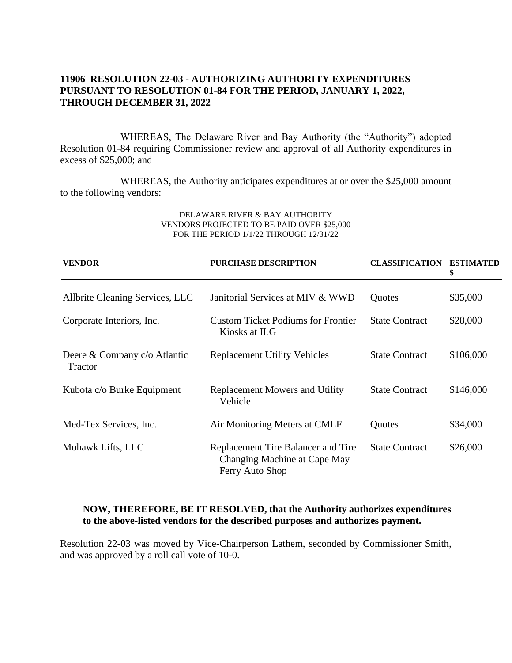# **11906 RESOLUTION 22-03 - AUTHORIZING AUTHORITY EXPENDITURES PURSUANT TO RESOLUTION 01-84 FOR THE PERIOD, JANUARY 1, 2022, THROUGH DECEMBER 31, 2022**

WHEREAS, The Delaware River and Bay Authority (the "Authority") adopted Resolution 01-84 requiring Commissioner review and approval of all Authority expenditures in excess of \$25,000; and

WHEREAS, the Authority anticipates expenditures at or over the \$25,000 amount to the following vendors:

#### DELAWARE RIVER & BAY AUTHORITY VENDORS PROJECTED TO BE PAID OVER \$25,000 FOR THE PERIOD 1/1/22 THROUGH 12/31/22

| <b>VENDOR</b>                           | <b>PURCHASE DESCRIPTION</b>                                                           | <b>CLASSIFICATION ESTIMATED</b> | \$        |
|-----------------------------------------|---------------------------------------------------------------------------------------|---------------------------------|-----------|
| Allbrite Cleaning Services, LLC         | Janitorial Services at MIV & WWD                                                      | Quotes                          | \$35,000  |
| Corporate Interiors, Inc.               | <b>Custom Ticket Podiums for Frontier</b><br>Kiosks at ILG                            | <b>State Contract</b>           | \$28,000  |
| Deere & Company c/o Atlantic<br>Tractor | <b>Replacement Utility Vehicles</b>                                                   | <b>State Contract</b>           | \$106,000 |
| Kubota c/o Burke Equipment              | <b>Replacement Mowers and Utility</b><br>Vehicle                                      | <b>State Contract</b>           | \$146,000 |
| Med-Tex Services, Inc.                  | Air Monitoring Meters at CMLF                                                         | Quotes                          | \$34,000  |
| Mohawk Lifts, LLC                       | Replacement Tire Balancer and Tire<br>Changing Machine at Cape May<br>Ferry Auto Shop | <b>State Contract</b>           | \$26,000  |

# **NOW, THEREFORE, BE IT RESOLVED, that the Authority authorizes expenditures to the above-listed vendors for the described purposes and authorizes payment.**

Resolution 22-03 was moved by Vice-Chairperson Lathem, seconded by Commissioner Smith, and was approved by a roll call vote of 10-0.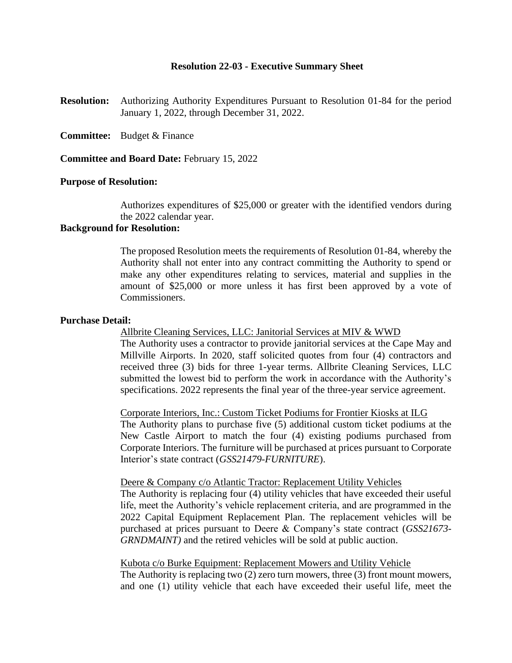## **Resolution 22-03 - Executive Summary Sheet**

**Resolution:** Authorizing Authority Expenditures Pursuant to Resolution 01-84 for the period January 1, 2022, through December 31, 2022.

**Committee:** Budget & Finance

**Committee and Board Date:** February 15, 2022

## **Purpose of Resolution:**

Authorizes expenditures of \$25,000 or greater with the identified vendors during the 2022 calendar year.

## **Background for Resolution:**

The proposed Resolution meets the requirements of Resolution 01-84, whereby the Authority shall not enter into any contract committing the Authority to spend or make any other expenditures relating to services, material and supplies in the amount of \$25,000 or more unless it has first been approved by a vote of Commissioners.

### **Purchase Detail:**

Allbrite Cleaning Services, LLC: Janitorial Services at MIV & WWD

The Authority uses a contractor to provide janitorial services at the Cape May and Millville Airports. In 2020, staff solicited quotes from four (4) contractors and received three (3) bids for three 1-year terms. Allbrite Cleaning Services, LLC submitted the lowest bid to perform the work in accordance with the Authority's specifications. 2022 represents the final year of the three-year service agreement.

Corporate Interiors, Inc.: Custom Ticket Podiums for Frontier Kiosks at ILG The Authority plans to purchase five (5) additional custom ticket podiums at the New Castle Airport to match the four (4) existing podiums purchased from Corporate Interiors. The furniture will be purchased at prices pursuant to Corporate Interior's state contract (*GSS21479-FURNITURE*).

#### Deere & Company c/o Atlantic Tractor: Replacement Utility Vehicles

The Authority is replacing four (4) utility vehicles that have exceeded their useful life, meet the Authority's vehicle replacement criteria, and are programmed in the 2022 Capital Equipment Replacement Plan. The replacement vehicles will be purchased at prices pursuant to Deere & Company's state contract (*GSS21673- GRNDMAINT)* and the retired vehicles will be sold at public auction.

#### Kubota c/o Burke Equipment: Replacement Mowers and Utility Vehicle

The Authority is replacing two (2) zero turn mowers, three (3) front mount mowers, and one (1) utility vehicle that each have exceeded their useful life, meet the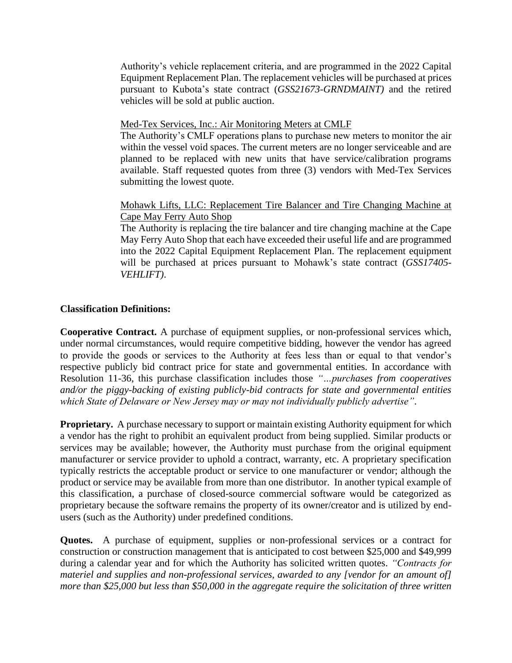Authority's vehicle replacement criteria, and are programmed in the 2022 Capital Equipment Replacement Plan. The replacement vehicles will be purchased at prices pursuant to Kubota's state contract (*GSS21673-GRNDMAINT)* and the retired vehicles will be sold at public auction.

# Med-Tex Services, Inc.: Air Monitoring Meters at CMLF

The Authority's CMLF operations plans to purchase new meters to monitor the air within the vessel void spaces. The current meters are no longer serviceable and are planned to be replaced with new units that have service/calibration programs available. Staff requested quotes from three (3) vendors with Med-Tex Services submitting the lowest quote.

# Mohawk Lifts, LLC: Replacement Tire Balancer and Tire Changing Machine at Cape May Ferry Auto Shop

The Authority is replacing the tire balancer and tire changing machine at the Cape May Ferry Auto Shop that each have exceeded their useful life and are programmed into the 2022 Capital Equipment Replacement Plan. The replacement equipment will be purchased at prices pursuant to Mohawk's state contract (*GSS17405- VEHLIFT)*.

# **Classification Definitions:**

**Cooperative Contract.** A purchase of equipment supplies, or non-professional services which, under normal circumstances, would require competitive bidding, however the vendor has agreed to provide the goods or services to the Authority at fees less than or equal to that vendor's respective publicly bid contract price for state and governmental entities. In accordance with Resolution 11-36, this purchase classification includes those *"…purchases from cooperatives and/or the piggy-backing of existing publicly-bid contracts for state and governmental entities which State of Delaware or New Jersey may or may not individually publicly advertise"*.

**Proprietary.** A purchase necessary to support or maintain existing Authority equipment for which a vendor has the right to prohibit an equivalent product from being supplied. Similar products or services may be available; however, the Authority must purchase from the original equipment manufacturer or service provider to uphold a contract, warranty, etc. A proprietary specification typically restricts the acceptable product or service to one manufacturer or vendor; although the product or service may be available from more than one distributor. In another typical example of this classification, a purchase of closed-source commercial software would be categorized as proprietary because the software remains the property of its owner/creator and is utilized by endusers (such as the Authority) under predefined conditions.

**Quotes.** A purchase of equipment, supplies or non-professional services or a contract for construction or construction management that is anticipated to cost between \$25,000 and \$49,999 during a calendar year and for which the Authority has solicited written quotes. *"Contracts for materiel and supplies and non-professional services, awarded to any [vendor for an amount of] more than \$25,000 but less than \$50,000 in the aggregate require the solicitation of three written*